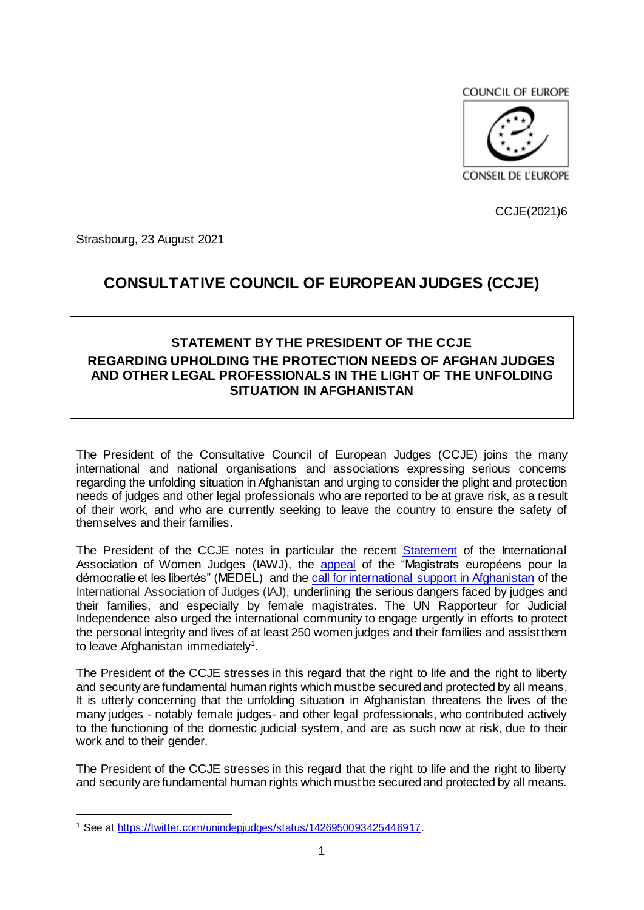COUNCIL OF EUROPE



CCJE(2021)6

Strasbourg, 23 August 2021

## **CONSULTATIVE COUNCIL OF EUROPEAN JUDGES (CCJE)**

## **STATEMENT BY THE PRESIDENT OF THE CCJE REGARDING UPHOLDING THE PROTECTION NEEDS OF AFGHAN JUDGES AND OTHER LEGAL PROFESSIONALS IN THE LIGHT OF THE UNFOLDING SITUATION IN AFGHANISTAN**

The President of the Consultative Council of European Judges (CCJE) joins the many international and national organisations and associations expressing serious concerns regarding the unfolding situation in Afghanistan and urging to consider the plight and protection needs of judges and other legal professionals who are reported to be at grave risk, as a result of their work, and who are currently seeking to leave the country to ensure the safety of themselves and their families.

The President of the CCJE notes in particular the recent [Statement](https://iawj.clubexpress.com/content.aspx?page_id=5&club_id=882224&item_id=67819&) of the International Association of Women Judges (IAWJ), the **[appeal](https://www.medelnet.eu/index.php/activities/defense-of-liberties/774-solidarity-with-afghan-female-judges)** of the "Magistrats européens pour la démocratie et les libertés" (MEDEL) and the [call for international support in Afghanistan](https://www.iaj-uim.org/news/call-for-international-support-in-afghanistan/) of the International Association of Judges (IAJ), underlining the serious dangers faced by judges and their families, and especially by female magistrates. The UN Rapporteur for Judicial Independence also urged the international community to engage urgently in efforts to protect the personal integrity and lives of at least 250 women judges and their families and assist them to leave Afghanistan immediately<sup>1</sup>.

The President of the CCJE stresses in this regard that the right to life and the right to liberty and security are fundamental human rights which must be secured and protected by all means. It is utterly concerning that the unfolding situation in Afghanistan threatens the lives of the many judges - notably female judges- and other legal professionals, who contributed actively to the functioning of the domestic judicial system, and are as such now at risk, due to their work and to their gender.

The President of the CCJE stresses in this regard that the right to life and the right to liberty and security are fundamental human rights which must be secured and protected by all means.

 $\overline{a}$ 

<sup>1</sup> See at [https://twitter.com/unindepjudges/status/1426950093425446917.](https://twitter.com/unindepjudges/status/1426950093425446917)